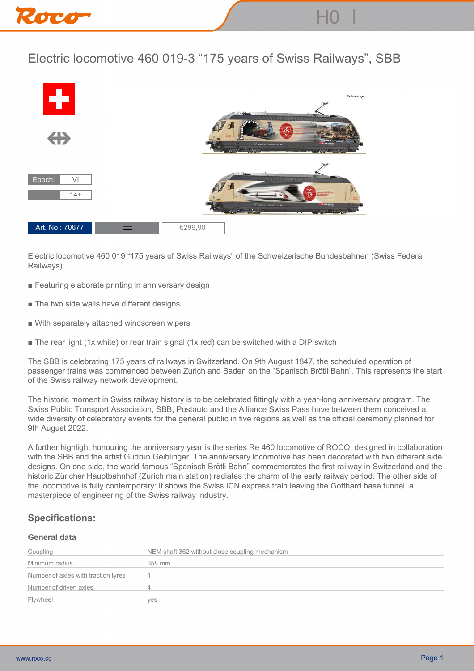

## **Electric locomotive 460 019-3 "175 years of Swiss Railways", SBB**



**Electric locomotive 460 019 "175 years of Swiss Railways" of the Schweizerische Bundesbahnen (Swiss Federal Railways).**

- Featuring elaborate printing in anniversary design
- **The two side walls have different designs**
- **With separately attached windscreen wipers**
- **The rear light (1x white) or rear train signal (1x red) can be switched with a DIP switch**

**The SBB is celebrating 175 years of railways in Switzerland. On 9th August 1847, the scheduled operation of passenger trains was commenced between Zurich and Baden on the "Spanisch Brötli Bahn". This represents the start of the Swiss railway network development.**

**The historic moment in Swiss railway history is to be celebrated fittingly with a year-long anniversary program. The Swiss Public Transport Association, SBB, Postauto and the Alliance Swiss Pass have between them conceived a wide diversity of celebratory events for the general public in five regions as well as the official ceremony planned for 9th August 2022.**

**A further highlight honouring the anniversary year is the series Re 460 locomotive of ROCO, designed in collaboration with the SBB and the artist Gudrun Geiblinger. The anniversary locomotive has been decorated with two different side designs. On one side, the world-famous "Spanisch Brötli Bahn" commemorates the first railway in Switzerland and the historic Züricher Hauptbahnhof (Zurich main station) radiates the charm of the early railway period. The other side of the locomotive is fully contemporary: it shows the Swiss ICN express train leaving the Gotthard base tunnel, a masterpiece of engineering of the Swiss railway industry.**

## **Specifications:**

## **General data**

| Coupling                            | NEM shaft 362 without close coupling mechanism |
|-------------------------------------|------------------------------------------------|
| Minimum radius                      | 358 mm                                         |
| Number of axles with traction tyres |                                                |
| Number of driven axles              |                                                |
| Flywheel                            | ves                                            |